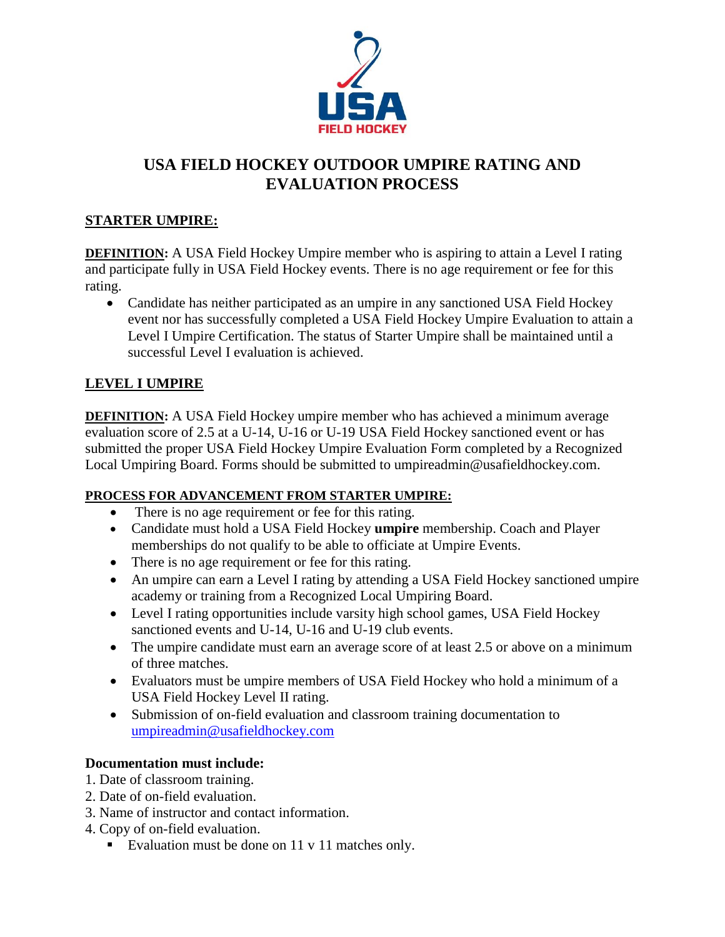

# **USA FIELD HOCKEY OUTDOOR UMPIRE RATING AND EVALUATION PROCESS**

### **STARTER UMPIRE:**

**DEFINITION:** A USA Field Hockey Umpire member who is aspiring to attain a Level I rating and participate fully in USA Field Hockey events. There is no age requirement or fee for this rating.

• Candidate has neither participated as an umpire in any sanctioned USA Field Hockey event nor has successfully completed a USA Field Hockey Umpire Evaluation to attain a Level I Umpire Certification. The status of Starter Umpire shall be maintained until a successful Level I evaluation is achieved.

### **LEVEL I UMPIRE**

**DEFINITION:** A USA Field Hockey umpire member who has achieved a minimum average evaluation score of 2.5 at a U-14, U-16 or U-19 USA Field Hockey sanctioned event or has submitted the proper USA Field Hockey Umpire Evaluation Form completed by a Recognized Local Umpiring Board. Forms should be submitted to umpireadmin@usafieldhockey.com.

#### **PROCESS FOR ADVANCEMENT FROM STARTER UMPIRE:**

- There is no age requirement or fee for this rating.
- Candidate must hold a USA Field Hockey **umpire** membership. Coach and Player memberships do not qualify to be able to officiate at Umpire Events.
- There is no age requirement or fee for this rating.
- An umpire can earn a Level I rating by attending a USA Field Hockey sanctioned umpire academy or training from a Recognized Local Umpiring Board.
- Level I rating opportunities include varsity high school games, USA Field Hockey sanctioned events and U-14, U-16 and U-19 club events.
- The umpire candidate must earn an average score of at least 2.5 or above on a minimum of three matches.
- Evaluators must be umpire members of USA Field Hockey who hold a minimum of a USA Field Hockey Level II rating.
- Submission of on-field evaluation and classroom training documentation to [umpireadmin@usafieldhockey.com](mailto:umpireadmin@usafieldhockey.com)

#### **Documentation must include:**

- 1. Date of classroom training.
- 2. Date of on-field evaluation.
- 3. Name of instructor and contact information.
- 4. Copy of on-field evaluation.
	- Evaluation must be done on 11 v 11 matches only.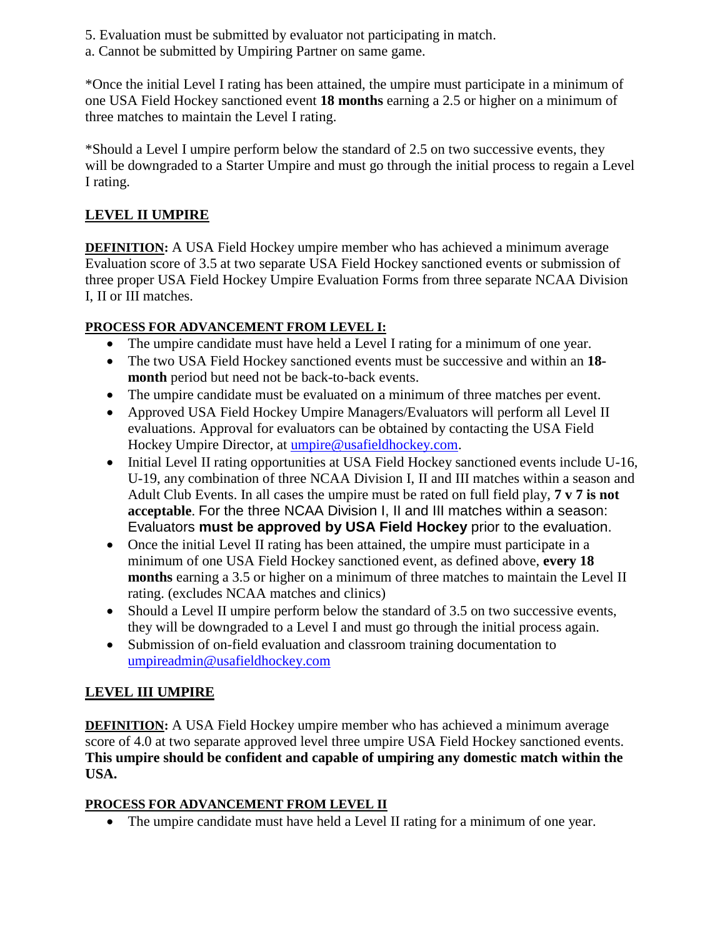- 5. Evaluation must be submitted by evaluator not participating in match.
- a. Cannot be submitted by Umpiring Partner on same game.

\*Once the initial Level I rating has been attained, the umpire must participate in a minimum of one USA Field Hockey sanctioned event **18 months** earning a 2.5 or higher on a minimum of three matches to maintain the Level I rating.

\*Should a Level I umpire perform below the standard of 2.5 on two successive events, they will be downgraded to a Starter Umpire and must go through the initial process to regain a Level I rating.

## **LEVEL II UMPIRE**

**DEFINITION:** A USA Field Hockey umpire member who has achieved a minimum average Evaluation score of 3.5 at two separate USA Field Hockey sanctioned events or submission of three proper USA Field Hockey Umpire Evaluation Forms from three separate NCAA Division I, II or III matches.

## **PROCESS FOR ADVANCEMENT FROM LEVEL I:**

- The umpire candidate must have held a Level I rating for a minimum of one year.
- The two USA Field Hockey sanctioned events must be successive and within an **18 month** period but need not be back-to-back events.
- The umpire candidate must be evaluated on a minimum of three matches per event.
- Approved USA Field Hockey Umpire Managers/Evaluators will perform all Level II evaluations. Approval for evaluators can be obtained by contacting the USA Field Hockey Umpire Director, at [umpire@usafieldhockey.com.](mailto:umpire@usafieldhockey.com)
- Initial Level II rating opportunities at USA Field Hockey sanctioned events include U-16, U-19, any combination of three NCAA Division I, II and III matches within a season and Adult Club Events. In all cases the umpire must be rated on full field play, **7 v 7 is not acceptable**. For the three NCAA Division I, II and III matches within a season: Evaluators **must be approved by USA Field Hockey** prior to the evaluation.
- Once the initial Level II rating has been attained, the umpire must participate in a minimum of one USA Field Hockey sanctioned event, as defined above, **every 18 months** earning a 3.5 or higher on a minimum of three matches to maintain the Level II rating. (excludes NCAA matches and clinics)
- Should a Level II umpire perform below the standard of 3.5 on two successive events, they will be downgraded to a Level I and must go through the initial process again.
- Submission of on-field evaluation and classroom training documentation to [umpireadmin@usafieldhockey.com](mailto:umpireadmin@usafieldhockey.com)

# **LEVEL III UMPIRE**

**DEFINITION:** A USA Field Hockey umpire member who has achieved a minimum average score of 4.0 at two separate approved level three umpire USA Field Hockey sanctioned events. **This umpire should be confident and capable of umpiring any domestic match within the USA.**

## **PROCESS FOR ADVANCEMENT FROM LEVEL II**

• The umpire candidate must have held a Level II rating for a minimum of one year.